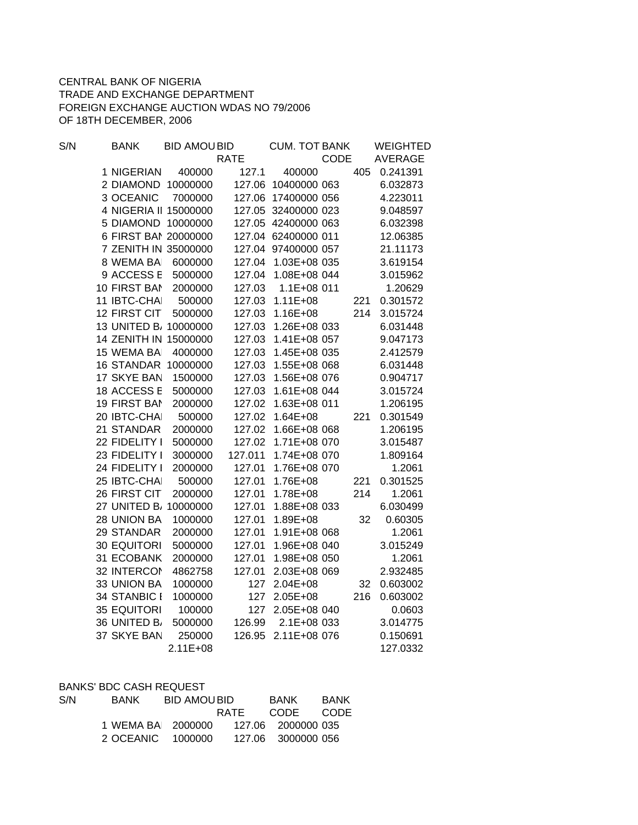## CENTRAL BANK OF NIGERIA TRADE AND EXCHANGE DEPARTMENT FOREIGN EXCHANGE AUCTION WDAS NO 79/2006 OF 18TH DECEMBER, 2006

| S/N | <b>BANK</b>           | <b>BID AMOUBID</b> |             | <b>CUM. TOT BANK</b> |      |     | <b>WEIGHTED</b> |
|-----|-----------------------|--------------------|-------------|----------------------|------|-----|-----------------|
|     |                       |                    | <b>RATE</b> |                      | CODE |     | <b>AVERAGE</b>  |
|     | 1 NIGERIAN            | 400000             | 127.1       | 400000               |      | 405 | 0.241391        |
|     | 2 DIAMOND             | 10000000           |             | 127.06 10400000 063  |      |     | 6.032873        |
|     | 3 OCEANIC             | 7000000            | 127.06      | 17400000 056         |      |     | 4.223011        |
|     | 4 NIGERIA II 15000000 |                    | 127.05      | 32400000 023         |      |     | 9.048597        |
|     | 5 DIAMOND 10000000    |                    |             | 127.05 42400000 063  |      |     | 6.032398        |
|     | 6 FIRST BAI 20000000  |                    |             | 127.04 62400000 011  |      |     | 12.06385        |
|     | 7 ZENITH IN 35000000  |                    | 127.04      | 97400000 057         |      |     | 21.11173        |
|     | 8 WEMA BAI            | 6000000            | 127.04      | 1.03E+08 035         |      |     | 3.619154        |
|     | 9 ACCESS E            | 5000000            | 127.04      | 1.08E+08 044         |      |     | 3.015962        |
|     | 10 FIRST BAN          | 2000000            | 127.03      | 1.1E+08 011          |      |     | 1.20629         |
|     | 11 IBTC-CHAI          | 500000             | 127.03      | $1.11E + 08$         |      | 221 | 0.301572        |
|     | 12 FIRST CIT          | 5000000            | 127.03      | $1.16E + 08$         |      | 214 | 3.015724        |
|     | 13 UNITED B/ 10000000 |                    | 127.03      | 1.26E+08 033         |      |     | 6.031448        |
|     | 14 ZENITH IN 15000000 |                    | 127.03      | 1.41E+08 057         |      |     | 9.047173        |
|     | 15 WEMA BAI           | 4000000            | 127.03      | 1.45E+08 035         |      |     | 2.412579        |
|     | <b>16 STANDAR</b>     | 10000000           | 127.03      | 1.55E+08 068         |      |     | 6.031448        |
|     | 17 SKYE BAN           | 1500000            | 127.03      | 1.56E+08 076         |      |     | 0.904717        |
|     | 18 ACCESS E           | 5000000            | 127.03      | 1.61E+08 044         |      |     | 3.015724        |
|     | <b>19 FIRST BAN</b>   | 2000000            | 127.02      | 1.63E+08 011         |      |     | 1.206195        |
|     | 20 IBTC-CHAI          | 500000             | 127.02      | $1.64E + 08$         |      | 221 | 0.301549        |
|     | 21 STANDAR            | 2000000            | 127.02      | 1.66E+08 068         |      |     | 1.206195        |
|     | 22 FIDELITY I         | 5000000            | 127.02      | 1.71E+08 070         |      |     | 3.015487        |
|     | 23 FIDELITY I         | 3000000            | 127.011     | 1.74E+08 070         |      |     | 1.809164        |
|     | 24 FIDELITY I         | 2000000            | 127.01      | 1.76E+08 070         |      |     | 1.2061          |
|     | 25 IBTC-CHAI          | 500000             | 127.01      | 1.76E+08             |      | 221 | 0.301525        |
|     | 26 FIRST CIT          | 2000000            | 127.01      | 1.78E+08             |      | 214 | 1.2061          |
|     | 27 UNITED B, 10000000 |                    | 127.01      | 1.88E+08 033         |      |     | 6.030499        |
|     | 28 UNION BA           | 1000000            | 127.01      | 1.89E+08             |      | 32  | 0.60305         |
|     | 29 STANDAR            | 2000000            | 127.01      | 1.91E+08 068         |      |     | 1.2061          |
|     | <b>30 EQUITORI</b>    | 5000000            | 127.01      | 1.96E+08 040         |      |     | 3.015249        |
|     | 31 ECOBANK            | 2000000            | 127.01      | 1.98E+08 050         |      |     | 1.2061          |
|     | 32 INTERCOM           | 4862758            | 127.01      | 2.03E+08 069         |      |     | 2.932485        |
|     | 33 UNION BA           | 1000000            | 127         | 2.04E+08             |      | 32  | 0.603002        |
|     | 34 STANBIC I          | 1000000            | 127         | 2.05E+08             |      | 216 | 0.603002        |
|     | <b>35 EQUITORI</b>    | 100000             | 127         | 2.05E+08 040         |      |     | 0.0603          |
|     | 36 UNITED B           | 5000000            | 126.99      | 2.1E+08 033          |      |     | 3.014775        |
|     | 37 SKYE BAN           | 250000             | 126.95      | 2.11E+08 076         |      |     | 0.150691        |
|     |                       | 2.11E+08           |             |                      |      |     | 127.0332        |
|     |                       |                    |             |                      |      |     |                 |

|     | <b>BANKS' BDC CASH REQUEST</b> |                    |      |                    |             |
|-----|--------------------------------|--------------------|------|--------------------|-------------|
| S/N | <b>BANK</b>                    | <b>BID AMOUBID</b> |      | BANK I             | <b>BANK</b> |
|     |                                |                    | RATF | CODE               | CODE        |
|     | 1 WEMA BAL 2000000             |                    |      | 127.06 2000000 035 |             |
|     | 2 OCEANIC 1000000              |                    |      | 127.06 3000000 056 |             |